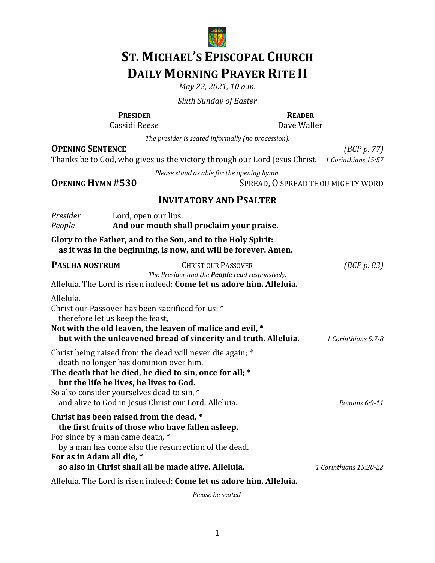

# **ST. MICHAEL'S EPISCOPAL CHURCH DAILY MORNING PRAYER RITE II**

*May 22, 2021, 10 a.m.*

*Sixth Sunday of Easter*

#### **PRESIDER READER**

Cassidi Reese Dave Waller

The presider is seated informally (no procession).

# **OPENING SENTENCE** *(BCP p. 77)*

Thanks be to God, who gives us the victory through our Lord Jesus Christ. 1 Corinthians 15:57

*Please stand as able for the opening hymn.* 

**OPENING HYMN #530** SPREAD, O SPREAD THOU MIGHTY WORD

# **INVITATORY AND PSALTER**

| Presider<br>People        | Lord, open our lips.<br>And our mouth shall proclaim your praise.                                                                                                                                                                                                                                               |                        |
|---------------------------|-----------------------------------------------------------------------------------------------------------------------------------------------------------------------------------------------------------------------------------------------------------------------------------------------------------------|------------------------|
|                           | Glory to the Father, and to the Son, and to the Holy Spirit:<br>as it was in the beginning, is now, and will be forever. Amen.                                                                                                                                                                                  |                        |
| PASCHA NOSTRUM            | <b>CHRIST OUR PASSOVER</b><br>The Presider and the People read responsively.<br>Alleluia. The Lord is risen indeed: <b>Come let us adore him. Alleluia.</b>                                                                                                                                                     | (BCP p. 83)            |
| Alleluia.                 | Christ our Passover has been sacrificed for us; *<br>therefore let us keep the feast,<br>Not with the old leaven, the leaven of malice and evil, *<br>but with the unleavened bread of sincerity and truth. Alleluia.                                                                                           | 1 Corinthians 5:7-8    |
|                           | Christ being raised from the dead will never die again; *<br>death no longer has dominion over him.<br>The death that he died, he died to sin, once for all; *<br>but the life he lives, he lives to God.<br>So also consider yourselves dead to sin, *<br>and alive to God in Jesus Christ our Lord. Alleluia. | Romans 6:9-11          |
| For as in Adam all die, * | Christ has been raised from the dead, *<br>the first fruits of those who have fallen asleep.<br>For since by a man came death, *<br>by a man has come also the resurrection of the dead.<br>so also in Christ shall all be made alive. Alleluia.                                                                | 1 Corinthians 15:20-22 |
|                           | Alleluia. The Lord is risen indeed: Come let us adore him. Alleluia.                                                                                                                                                                                                                                            |                        |

*Please be seated.*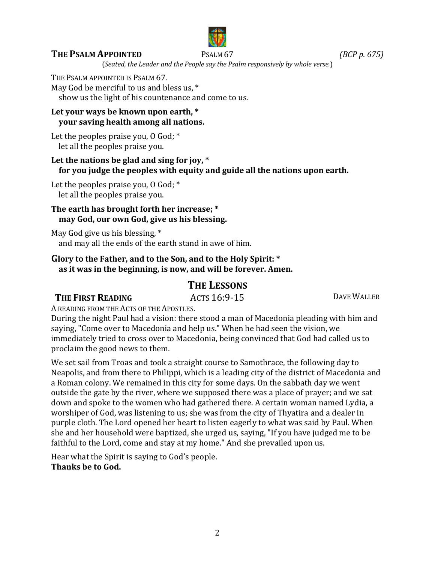#### **THE PSALM APPOINTED** PSALM 67 *(BCP p. 675)*

(*Seated, the Leader and the People say the Psalm responsively by whole verse.*)

THE PSALM APPOINTED IS PSALM 67. May God be merciful to us and bless us,  $*$ show us the light of his countenance and come to us.

#### Let your ways be known upon earth, \* **<u>your saving health among all nations.</u>**

Let the peoples praise you,  $0$  God;  $*$ let all the peoples praise you.

#### Let the nations be glad and sing for joy, \* for you judge the peoples with equity and guide all the nations upon earth.

Let the peoples praise you,  $0$  God;  $*$ let all the peoples praise you.

#### The earth has brought forth her increase; \* may God, our own God, give us his blessing.

May God give us his blessing,  $*$ and may all the ends of the earth stand in awe of him.

## **Glory to the Father, and to the Son, and to the Holy Spirit:**  $*$ as it was in the beginning, is now, and will be forever. Amen.

# **THE LESSONS**

# **THE FIRST READING** ACTS 16:9-15 DAVE WALLER

A READING FROM THE ACTS OF THE APOSTLES.

During the night Paul had a vision: there stood a man of Macedonia pleading with him and saying, "Come over to Macedonia and help us." When he had seen the vision, we immediately tried to cross over to Macedonia, being convinced that God had called us to proclaim the good news to them.

We set sail from Troas and took a straight course to Samothrace, the following day to Neapolis, and from there to Philippi, which is a leading city of the district of Macedonia and a Roman colony. We remained in this city for some days. On the sabbath day we went outside the gate by the river, where we supposed there was a place of prayer; and we sat down and spoke to the women who had gathered there. A certain woman named Lydia, a worshiper of God, was listening to us; she was from the city of Thyatira and a dealer in purple cloth. The Lord opened her heart to listen eagerly to what was said by Paul. When she and her household were baptized, she urged us, saying, "If you have judged me to be faithful to the Lord, come and stay at my home." And she prevailed upon us.

Hear what the Spirit is saying to God's people. **Thanks be to God.**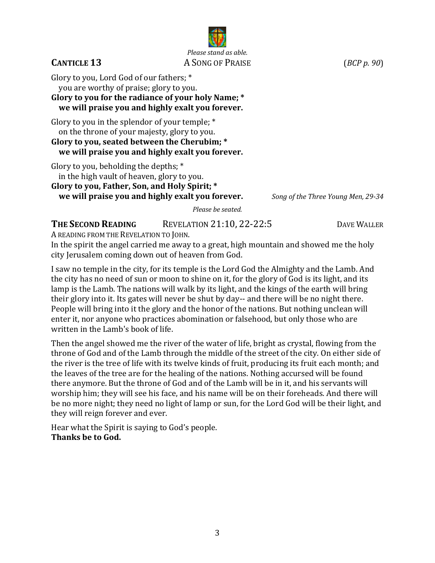*Please stand as able.* **CANTICLE 13** A SONG OF PRAISE (*BCP p.* 90)

Glory to you, Lord God of our fathers; \* you are worthy of praise; glory to you. Glory to you for the radiance of your holy Name; \* **we will praise you and highly exalt you forever.** 

Glory to you in the splendor of your temple;  $*$ on the throne of your majesty, glory to you. Glory to you, seated between the Cherubim; \*

**we will praise you and highly exalt you forever.** 

Glory to you, beholding the depths;  $*$ 

in the high vault of heaven, glory to you.

Glory to you, Father, Son, and Holy Spirit; \* **we will praise you and highly exalt you forever.** *Song of the Three Young Men, 29-34* 

*Please be seated.*

**THE SECOND READING** REVELATION 21:10, 22-22:5 DAVE WALLER

A READING FROM THE REVELATION TO JOHN.

In the spirit the angel carried me away to a great, high mountain and showed me the holy city Jerusalem coming down out of heaven from God.

I saw no temple in the city, for its temple is the Lord God the Almighty and the Lamb. And the city has no need of sun or moon to shine on it, for the glory of God is its light, and its lamp is the Lamb. The nations will walk by its light, and the kings of the earth will bring their glory into it. Its gates will never be shut by day-- and there will be no night there. People will bring into it the glory and the honor of the nations. But nothing unclean will enter it, nor anyone who practices abomination or falsehood, but only those who are written in the Lamb's book of life.

Then the angel showed me the river of the water of life, bright as crystal, flowing from the throne of God and of the Lamb through the middle of the street of the city. On either side of the river is the tree of life with its twelve kinds of fruit, producing its fruit each month; and the leaves of the tree are for the healing of the nations. Nothing accursed will be found there anymore. But the throne of God and of the Lamb will be in it, and his servants will worship him; they will see his face, and his name will be on their foreheads. And there will be no more night; they need no light of lamp or sun, for the Lord God will be their light, and they will reign forever and ever.

Hear what the Spirit is saying to God's people. **Thanks be to God.**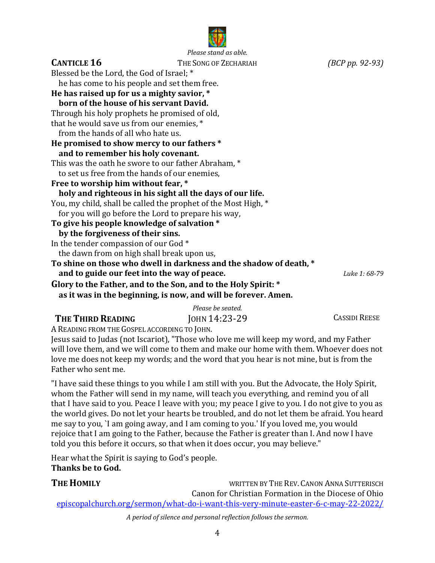|                                               | Please stand as able.                                              |                 |
|-----------------------------------------------|--------------------------------------------------------------------|-----------------|
| <b>CANTICLE 16</b>                            | THE SONG OF ZECHARIAH                                              | (BCP pp. 92-93) |
| Blessed be the Lord, the God of Israel; *     |                                                                    |                 |
| he has come to his people and set them free.  |                                                                    |                 |
| He has raised up for us a mighty savior, *    |                                                                    |                 |
| born of the house of his servant David.       |                                                                    |                 |
| Through his holy prophets he promised of old, |                                                                    |                 |
| that he would save us from our enemies, *     |                                                                    |                 |
| from the hands of all who hate us.            |                                                                    |                 |
| He promised to show mercy to our fathers *    |                                                                    |                 |
| and to remember his holy covenant.            |                                                                    |                 |
|                                               | This was the oath he swore to our father Abraham, *                |                 |
| to set us free from the hands of our enemies, |                                                                    |                 |
| Free to worship him without fear, *           |                                                                    |                 |
|                                               | holy and righteous in his sight all the days of our life.          |                 |
|                                               | You, my child, shall be called the prophet of the Most High, *     |                 |
|                                               | for you will go before the Lord to prepare his way,                |                 |
| To give his people knowledge of salvation *   |                                                                    |                 |
| by the forgiveness of their sins.             |                                                                    |                 |
| In the tender compassion of our God *         |                                                                    |                 |
| the dawn from on high shall break upon us,    |                                                                    |                 |
|                                               | To shine on those who dwell in darkness and the shadow of death, * |                 |
| and to guide our feet into the way of peace.  |                                                                    | Luke 1: 68-79   |
|                                               | Glory to the Father, and to the Son, and to the Holy Spirit: *     |                 |
|                                               | as it was in the beginning, is now, and will be forever. Amen.     |                 |
|                                               | $\blacksquare$                                                     |                 |

|                                                          | Please be seated. |                      |
|----------------------------------------------------------|-------------------|----------------------|
| THE THIRD READING                                        | JOHN 14:23-29     | <b>CASSIDI REESE</b> |
| $\overline{a}$ , and $\overline{a}$ , and $\overline{a}$ |                   |                      |

A READING FROM THE GOSPEL ACCORDING TO JOHN.

Jesus said to Judas (not Iscariot), "Those who love me will keep my word, and my Father will love them, and we will come to them and make our home with them. Whoever does not love me does not keep my words; and the word that you hear is not mine, but is from the Father who sent me.

"I have said these things to you while I am still with you. But the Advocate, the Holy Spirit, whom the Father will send in my name, will teach you everything, and remind you of all that I have said to you. Peace I leave with you; my peace I give to you. I do not give to you as the world gives. Do not let your hearts be troubled, and do not let them be afraid. You heard me say to you, `I am going away, and I am coming to you.' If you loved me, you would rejoice that I am going to the Father, because the Father is greater than I. And now I have told you this before it occurs, so that when it does occur, you may believe."

Hear what the Spirit is saying to God's people.

# **Thanks be to God.**

**THE HOMILY** MELTEN BY THE REV. CANON ANNA SUTTERISCH Canon for Christian Formation in the Diocese of Ohio episcopalchurch.org/sermon/what-do-i-want-this-very-minute-easter-6-c-may-22-2022/

*A period of silence and personal reflection follows the sermon.*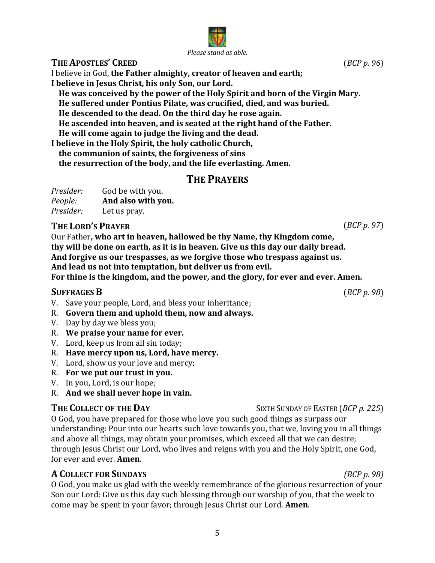# **THE APOSTLES' CREED** (*BCP p.* 96)

I believe in God, the Father almighty, creator of heaven and earth; I believe in Jesus Christ, his only Son, our Lord. He was conceived by the power of the Holy Spirit and born of the Virgin Mary.

He suffered under Pontius Pilate, was crucified, died, and was buried.

He descended to the dead. On the third day he rose again.

He ascended into heaven, and is seated at the right hand of the Father.

He will come again to judge the living and the dead.

**I believe in the Holy Spirit, the holy catholic Church,**

the communion of saints, the forgiveness of sins

 **the resurrection of the body, and the life everlasting. Amen.**

# **THE PRAYERS**

| Presider: | God be with you.   |  |  |
|-----------|--------------------|--|--|
| People:   | And also with you. |  |  |
| Presider: | Let us pray.       |  |  |

# **THE LORD'S PRAYER** (*BCP p.* 97)

Our Father, who art in heaven, hallowed be thy Name, thy Kingdom come, **thy will be done on earth, as it is in heaven. Give us this day our daily bread.** And forgive us our trespasses, as we forgive those who trespass against us. And lead us not into temptation, but deliver us from evil.

For thine is the kingdom, and the power, and the glory, for ever and ever. Amen.

# **SUFFRAGES B** (*BCP p. 98*)

- V. Save your people, Lord, and bless your inheritance;
- R. Govern them and uphold them, now and always.
- V. Day by day we bless you;
- R. We praise your name for ever.
- V. Lord, keep us from all sin today;
- R. Have mercy upon us, Lord, have mercy.
- V. Lord, show us your love and mercy;
- R. For we put our trust in you.
- V. In you, Lord, is our hope;
- R. And we shall never hope in vain.

# **THE COLLECT OF THE DAY** SIXTH SUNDAY OF EASTER (*BCP p.* 225)

O God, you have prepared for those who love you such good things as surpass our understanding: Pour into our hearts such love towards you, that we, loving you in all things and above all things, may obtain your promises, which exceed all that we can desire; through Jesus Christ our Lord, who lives and reigns with you and the Holy Spirit, one God, for ever and ever. **Amen**.

# **A COLLECT** FOR SUNDAYS *(BCP p. 98)*

O God, you make us glad with the weekly remembrance of the glorious resurrection of your Son our Lord: Give us this day such blessing through our worship of you, that the week to come may be spent in your favor; through Jesus Christ our Lord. **Amen.** 

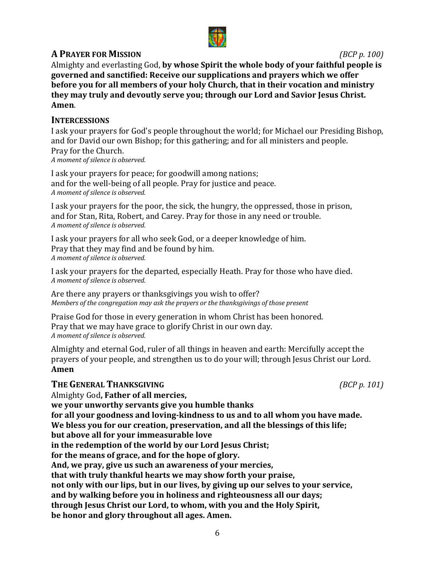

# **A PRAYER FOR MISSION** *(BCP p. 100)*

Almighty and everlasting God, by whose Spirit the whole body of your faithful people is governed and sanctified: Receive our supplications and prayers which we offer **before you for all members of your holy Church, that in their vocation and ministry** they may truly and devoutly serve you; through our Lord and Savior Jesus Christ. **Amen**.

#### **INTERCESSIONS**

I ask your prayers for God's people throughout the world; for Michael our Presiding Bishop, and for David our own Bishop; for this gathering; and for all ministers and people. Pray for the Church. *A moment of silence is observed.*

I ask your prayers for peace; for goodwill among nations; and for the well-being of all people. Pray for justice and peace. *A moment of silence is observed.*

I ask your prayers for the poor, the sick, the hungry, the oppressed, those in prison, and for Stan, Rita, Robert, and Carey. Pray for those in any need or trouble. *A moment of silence is observed.*

I ask your prayers for all who seek God, or a deeper knowledge of him. Pray that they may find and be found by him. *A moment of silence is observed.*

I ask your prayers for the departed, especially Heath. Pray for those who have died. *A moment of silence is observed.*

Are there any prayers or thanksgivings you wish to offer? *Members of the congregation may ask the prayers or the thanksgivings of those present* 

Praise God for those in every generation in whom Christ has been honored. Pray that we may have grace to glorify Christ in our own day. *A moment of silence is observed.*

Almighty and eternal God, ruler of all things in heaven and earth: Mercifully accept the prayers of your people, and strengthen us to do your will; through Jesus Christ our Lord. **Amen**

#### **THE GENERAL THANKSGIVING** *(BCP p. 101)*

Almighty God, Father of all mercies, **we your unworthy servants give you humble thanks** for all your goodness and loving-kindness to us and to all whom you have made. We bless you for our creation, preservation, and all the blessings of this life; **but above all for your immeasurable love** in the redemption of the world by our Lord Jesus Christ; for the means of grace, and for the hope of glory. And, we pray, give us such an awareness of your mercies, that with truly thankful hearts we may show forth your praise, not only with our lips, but in our lives, by giving up our selves to your service, and by walking before you in holiness and righteousness all our days; through Jesus Christ our Lord, to whom, with you and the Holy Spirit, **be honor and glory throughout all ages. Amen.**